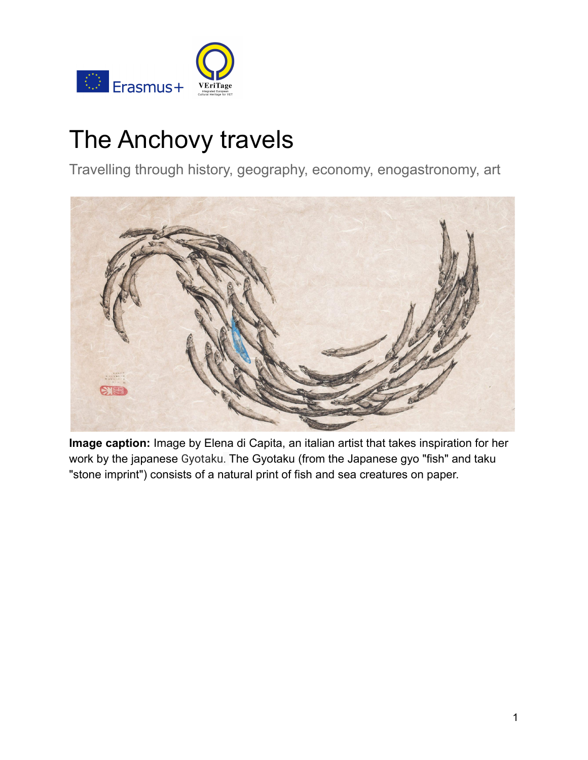

# The Anchovy travels

Travelling through history, geography, economy, enogastronomy, art



**Image caption:** Image by Elena di Capita, an italian artist that takes inspiration for her work by the japanese Gyotaku. The Gyotaku (from the Japanese gyo "fish" and taku "stone imprint") consists of a natural print of fish and sea creatures on paper.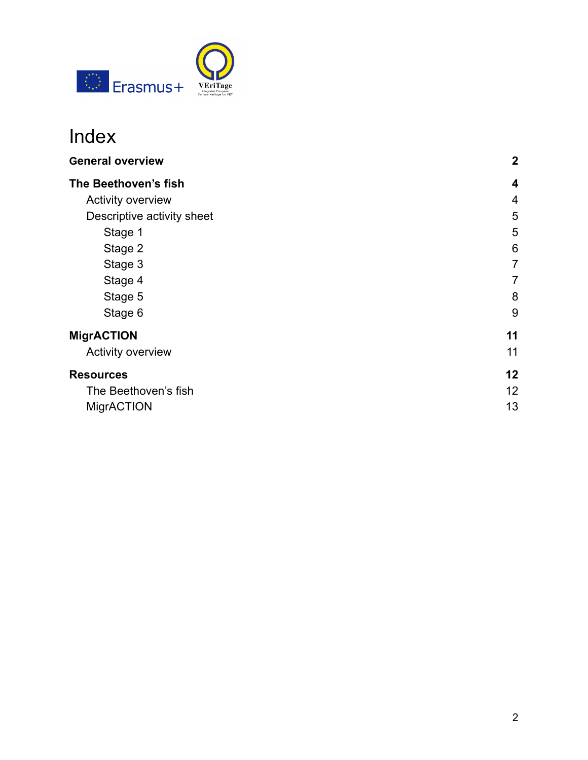

## Index

| $\mathbf 2$ |
|-------------|
| 4           |
| 4           |
| 5           |
| 5           |
| 6           |
| 7           |
| 7           |
| 8           |
| 9           |
| 11          |
| 11          |
| 12          |
| 12          |
| 13          |
|             |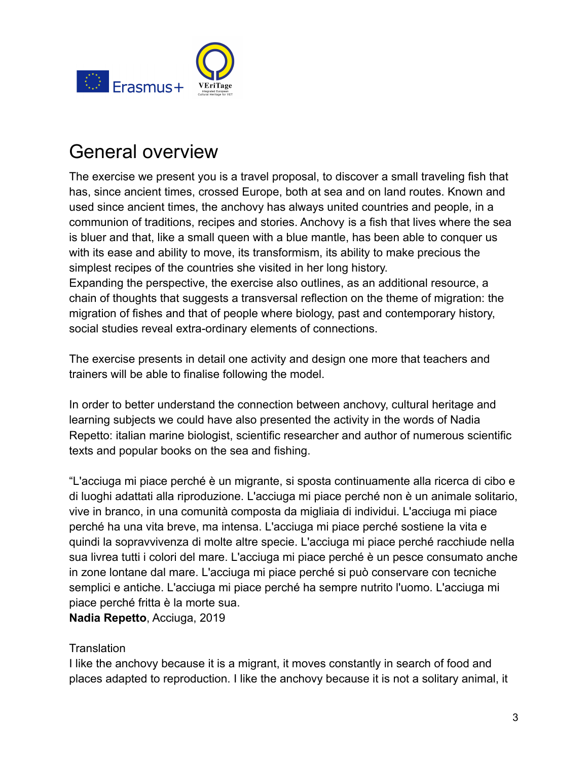

## <span id="page-2-0"></span>General overview

The exercise we present you is a travel proposal, to discover a small traveling fish that has, since ancient times, crossed Europe, both at sea and on land routes. Known and used since ancient times, the anchovy has always united countries and people, in a communion of traditions, recipes and stories. Anchovy is a fish that lives where the sea is bluer and that, like a small queen with a blue mantle, has been able to conquer us with its ease and ability to move, its transformism, its ability to make precious the simplest recipes of the countries she visited in her long history.

Expanding the perspective, the exercise also outlines, as an additional resource, a chain of thoughts that suggests a transversal reflection on the theme of migration: the migration of fishes and that of people where biology, past and contemporary history, social studies reveal extra-ordinary elements of connections.

The exercise presents in detail one activity and design one more that teachers and trainers will be able to finalise following the model.

In order to better understand the connection between anchovy, cultural heritage and learning subjects we could have also presented the activity in the words of Nadia Repetto: italian marine biologist, scientific researcher and author of numerous scientific texts and popular books on the sea and fishing.

"L'acciuga mi piace perché è un migrante, si sposta continuamente alla ricerca di cibo e di luoghi adattati alla riproduzione. L'acciuga mi piace perché non è un animale solitario, vive in branco, in una comunità composta da migliaia di individui. L'acciuga mi piace perché ha una vita breve, ma intensa. L'acciuga mi piace perché sostiene la vita e quindi la sopravvivenza di molte altre specie. L'acciuga mi piace perché racchiude nella sua livrea tutti i colori del mare. L'acciuga mi piace perché è un pesce consumato anche in zone lontane dal mare. L'acciuga mi piace perché si può conservare con tecniche semplici e antiche. L'acciuga mi piace perché ha sempre nutrito l'uomo. L'acciuga mi piace perché fritta è la morte sua.

**Nadia Repetto**, Acciuga, 2019

#### **Translation**

I like the anchovy because it is a migrant, it moves constantly in search of food and places adapted to reproduction. I like the anchovy because it is not a solitary animal, it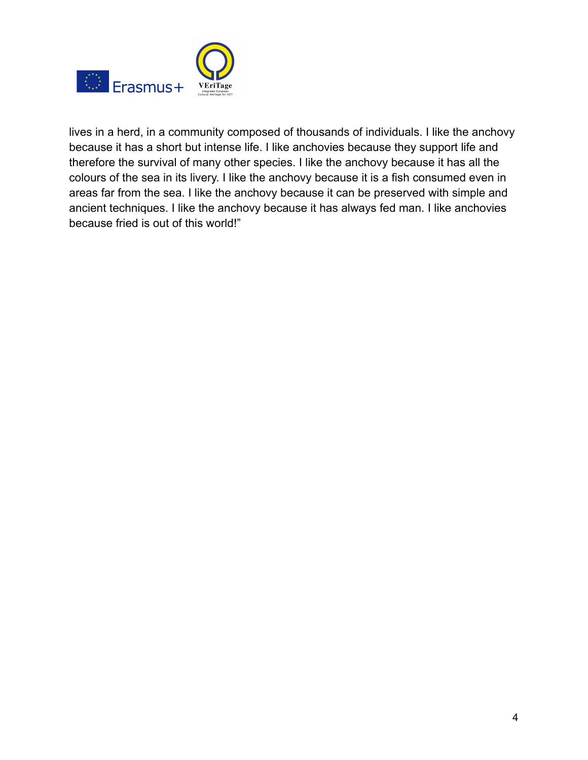

lives in a herd, in a community composed of thousands of individuals. I like the anchovy because it has a short but intense life. I like anchovies because they support life and therefore the survival of many other species. I like the anchovy because it has all the colours of the sea in its livery. I like the anchovy because it is a fish consumed even in areas far from the sea. I like the anchovy because it can be preserved with simple and ancient techniques. I like the anchovy because it has always fed man. I like anchovies because fried is out of this world!"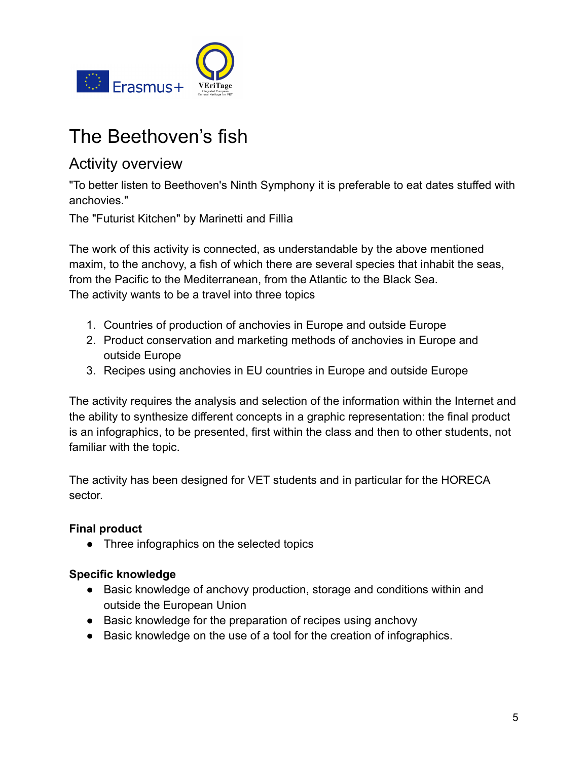

## <span id="page-4-0"></span>The Beethoven's fish

### <span id="page-4-1"></span>Activity overview

"To better listen to Beethoven's Ninth Symphony it is preferable to eat dates stuffed with anchovies."

The "Futurist Kitchen" by Marinetti and Fillìa

The work of this activity is connected, as understandable by the above mentioned maxim, to the anchovy, a fish of which there are several species that inhabit the seas, from the Pacific to the Mediterranean, from the Atlantic to the Black Sea. The activity wants to be a travel into three topics

- 1. Countries of production of anchovies in Europe and outside Europe
- 2. Product conservation and marketing methods of anchovies in Europe and outside Europe
- 3. Recipes using anchovies in EU countries in Europe and outside Europe

The activity requires the analysis and selection of the information within the Internet and the ability to synthesize different concepts in a graphic representation: the final product is an infographics, to be presented, first within the class and then to other students, not familiar with the topic.

The activity has been designed for VET students and in particular for the HORECA sector.

#### **Final product**

• Three infographics on the selected topics

#### **Specific knowledge**

- Basic knowledge of anchovy production, storage and conditions within and outside the European Union
- Basic knowledge for the preparation of recipes using anchovy
- Basic knowledge on the use of a tool for the creation of infographics.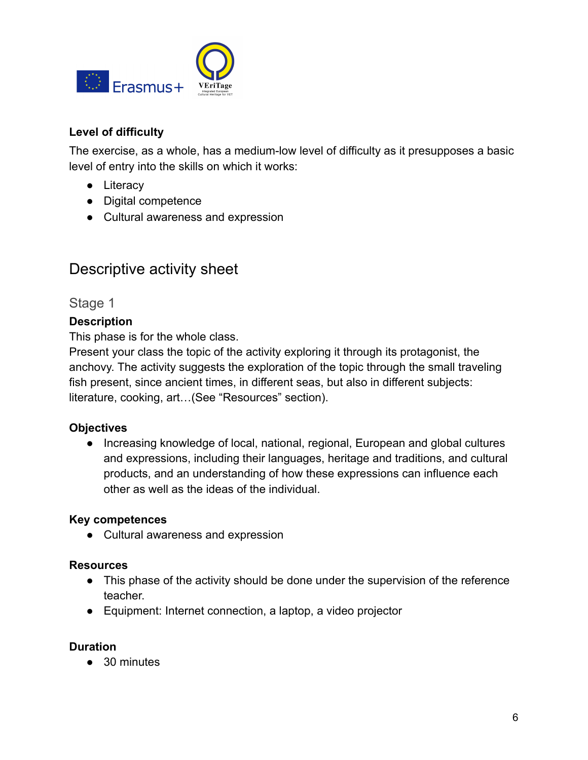

#### **Level of difficulty**

The exercise, as a whole, has a medium-low level of difficulty as it presupposes a basic level of entry into the skills on which it works:

- Literacy
- Digital competence
- Cultural awareness and expression

### <span id="page-5-0"></span>Descriptive activity sheet

#### <span id="page-5-1"></span>Stage 1

#### **Description**

This phase is for the whole class.

Present your class the topic of the activity exploring it through its protagonist, the anchovy. The activity suggests the exploration of the topic through the small traveling fish present, since ancient times, in different seas, but also in different subjects: literature, cooking, art…(See "Resources" section).

#### **Objectives**

● Increasing knowledge of local, national, regional, European and global cultures and expressions, including their languages, heritage and traditions, and cultural products, and an understanding of how these expressions can influence each other as well as the ideas of the individual.

#### **Key competences**

● Cultural awareness and expression

#### **Resources**

- This phase of the activity should be done under the supervision of the reference teacher.
- Equipment: Internet connection, a laptop, a video projector

#### **Duration**

● 30 minutes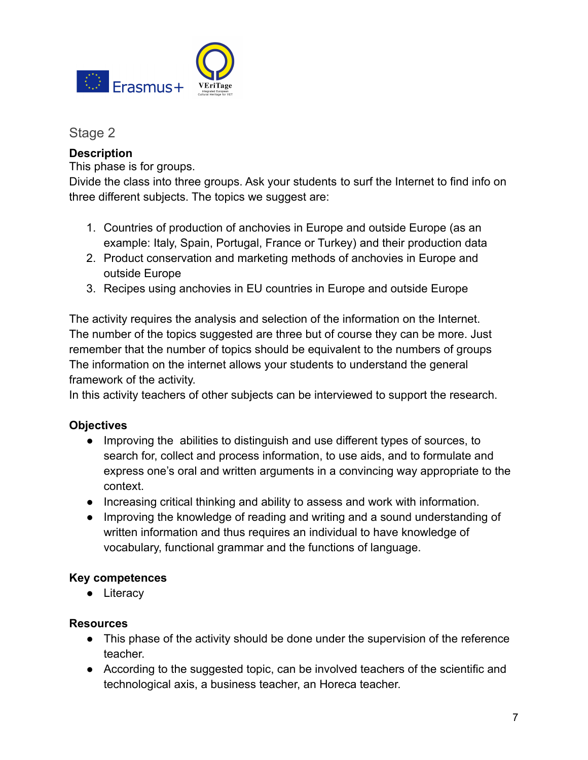

<span id="page-6-0"></span>Stage 2

#### **Description**

This phase is for groups.

Divide the class into three groups. Ask your students to surf the Internet to find info on three different subjects. The topics we suggest are:

- 1. Countries of production of anchovies in Europe and outside Europe (as an example: Italy, Spain, Portugal, France or Turkey) and their production data
- 2. Product conservation and marketing methods of anchovies in Europe and outside Europe
- 3. Recipes using anchovies in EU countries in Europe and outside Europe

The activity requires the analysis and selection of the information on the Internet. The number of the topics suggested are three but of course they can be more. Just remember that the number of topics should be equivalent to the numbers of groups The information on the internet allows your students to understand the general framework of the activity.

In this activity teachers of other subjects can be interviewed to support the research.

#### **Objectives**

- Improving the abilities to distinguish and use different types of sources, to search for, collect and process information, to use aids, and to formulate and express one's oral and written arguments in a convincing way appropriate to the context.
- Increasing critical thinking and ability to assess and work with information.
- Improving the knowledge of reading and writing and a sound understanding of written information and thus requires an individual to have knowledge of vocabulary, functional grammar and the functions of language.

#### **Key competences**

● Literacy

#### **Resources**

- This phase of the activity should be done under the supervision of the reference teacher.
- According to the suggested topic, can be involved teachers of the scientific and technological axis, a business teacher, an Horeca teacher.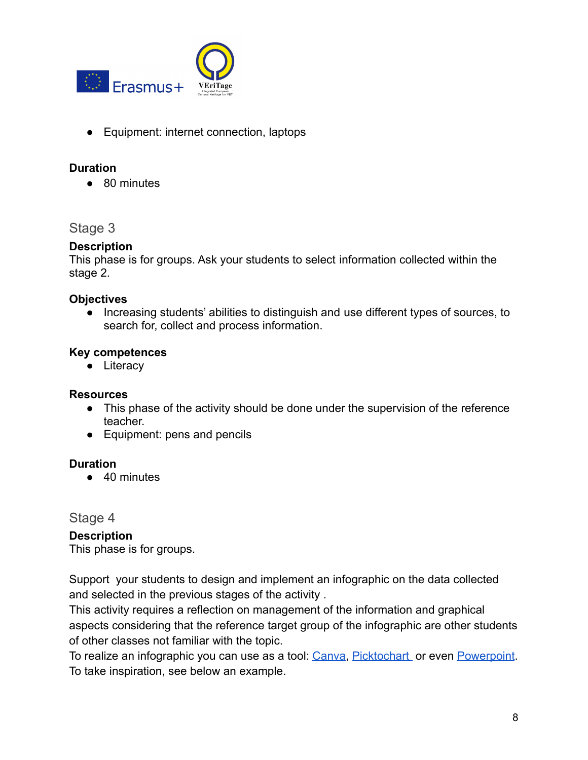

● Equipment: internet connection, laptops

#### **Duration**

● 80 minutes

#### <span id="page-7-0"></span>Stage 3

#### **Description**

This phase is for groups. Ask your students to select information collected within the stage 2.

#### **Objectives**

● Increasing students' abilities to distinguish and use different types of sources, to search for, collect and process information.

#### **Key competences**

● Literacy

#### **Resources**

- This phase of the activity should be done under the supervision of the reference teacher.
- Equipment: pens and pencils

#### **Duration**

● 40 minutes

#### <span id="page-7-1"></span>Stage 4

#### **Description**

This phase is for groups.

Support your students to design and implement an infographic on the data collected and selected in the previous stages of the activity .

This activity requires a reflection on management of the information and graphical aspects considering that the reference target group of the infographic are other students of other classes not familiar with the topic.

To realize an infographic you can use as a tool: [Canva](https://www.canva.com), [Picktochart](https://piktochart.com) or even [Powerpoint](https://templates.office.com/en-us/process-infographic-retrospect-theme,-widescreen-tm00001070). To take inspiration, see below an example.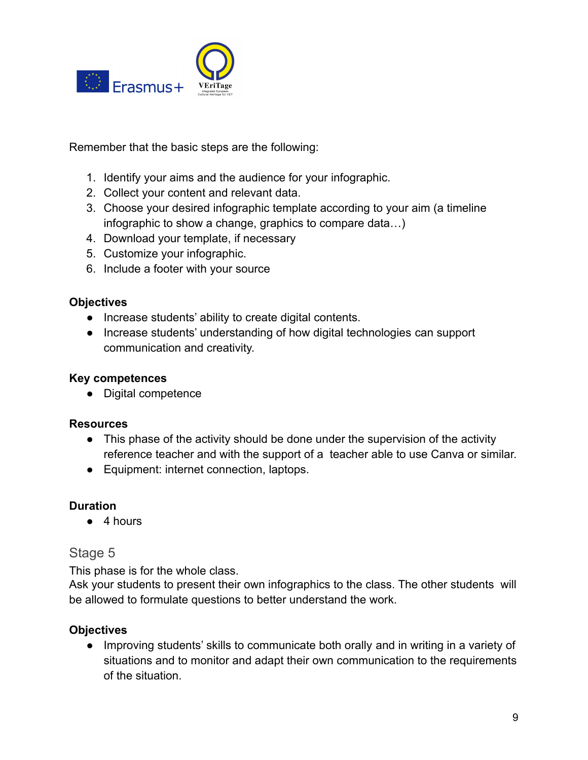

Remember that the basic steps are the following:

- 1. Identify your aims and the audience for your infographic.
- 2. Collect your content and relevant data.
- 3. Choose your desired infographic template according to your aim (a timeline infographic to show a change, graphics to compare data…)
- 4. Download your template, if necessary
- 5. Customize your infographic.
- 6. Include a footer with your source

#### **Objectives**

- Increase students' ability to create digital contents.
- Increase students' understanding of how digital technologies can support communication and creativity.

#### **Key competences**

● Digital competence

#### **Resources**

- This phase of the activity should be done under the supervision of the activity reference teacher and with the support of a teacher able to use Canva or similar.
- Equipment: internet connection, laptops.

#### **Duration**

● 4 hours

#### <span id="page-8-0"></span>Stage 5

This phase is for the whole class.

Ask your students to present their own infographics to the class. The other students will be allowed to formulate questions to better understand the work.

#### **Objectives**

● Improving students' skills to communicate both orally and in writing in a variety of situations and to monitor and adapt their own communication to the requirements of the situation.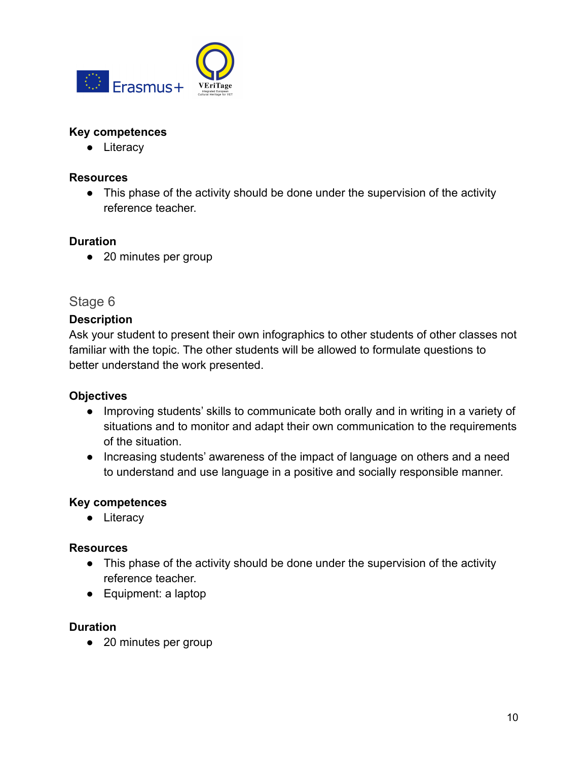

#### **Key competences**

● Literacy

#### **Resources**

• This phase of the activity should be done under the supervision of the activity reference teacher.

#### **Duration**

● 20 minutes per group

#### <span id="page-9-0"></span>Stage 6

#### **Description**

Ask your student to present their own infographics to other students of other classes not familiar with the topic. The other students will be allowed to formulate questions to better understand the work presented.

#### **Objectives**

- Improving students' skills to communicate both orally and in writing in a variety of situations and to monitor and adapt their own communication to the requirements of the situation.
- Increasing students' awareness of the impact of language on others and a need to understand and use language in a positive and socially responsible manner.

#### **Key competences**

● Literacy

#### **Resources**

- This phase of the activity should be done under the supervision of the activity reference teacher.
- Equipment: a laptop

#### **Duration**

● 20 minutes per group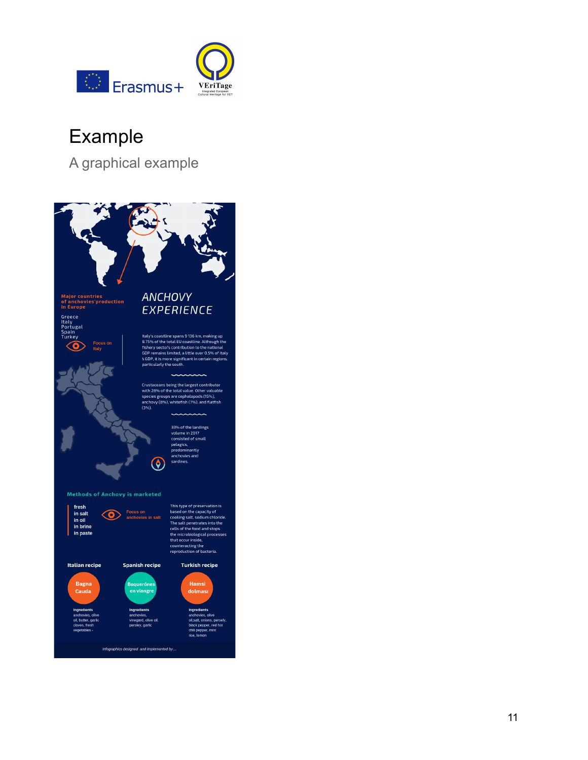

## Example

A graphical example

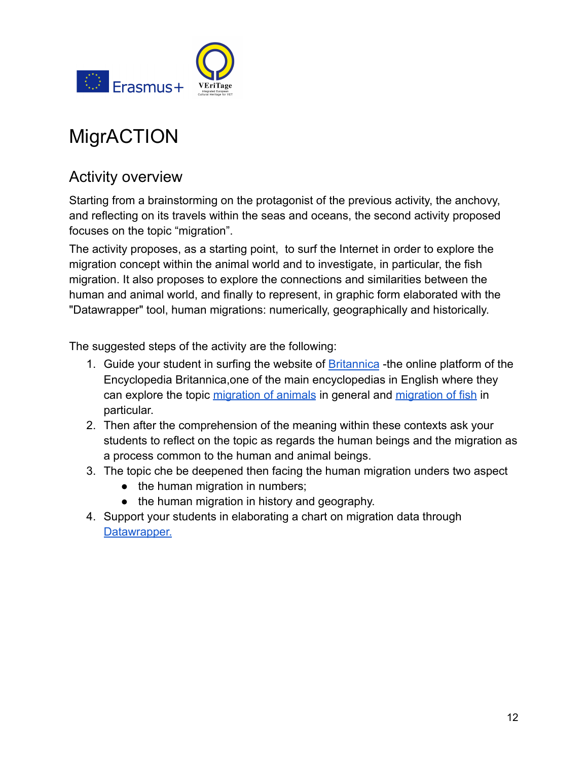

## <span id="page-11-0"></span>**MigrACTION**

### <span id="page-11-1"></span>Activity overview

Starting from a brainstorming on the protagonist of the previous activity, the anchovy, and reflecting on its travels within the seas and oceans, the second activity proposed focuses on the topic "migration".

The activity proposes, as a starting point, to surf the Internet in order to explore the migration concept within the animal world and to investigate, in particular, the fish migration. It also proposes to explore the connections and similarities between the human and animal world, and finally to represent, in graphic form elaborated with the "Datawrapper" tool, human migrations: numerically, geographically and historically.

The suggested steps of the activity are the following:

- 1. Guide your student in surfing the website of [Britannica](https://www.britannica.com) -the online platform of the Encyclopedia Britannica,one of the main encyclopedias in English where they can explore the topic [migration of animals](https://www.britannica.com/science/migration-animal) in general and [migration of fish](https://www.britannica.com/science/migration-animal/Fish) in particular.
- 2. Then after the comprehension of the meaning within these contexts ask your students to reflect on the topic as regards the human beings and the migration as a process common to the human and animal beings.
- 3. The topic che be deepened then facing the human migration unders two aspect
	- the human migration in numbers;
	- the human migration in history and geography.
- 4. Support your students in elaborating a chart on migration data through [Datawrapper.](https://www.datawrapper.de)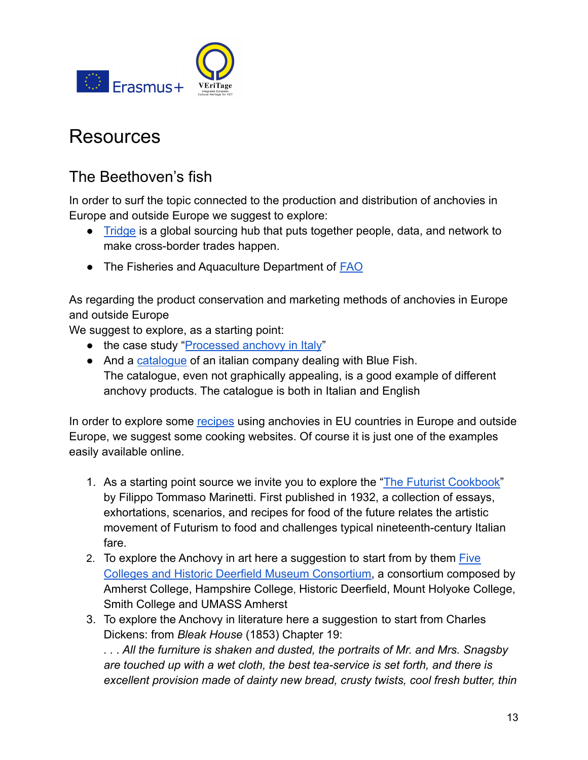

### <span id="page-12-0"></span>Resources

### <span id="page-12-1"></span>The Beethoven's fish

In order to surf the topic connected to the production and distribution of anchovies in Europe and outside Europe we suggest to explore:

- [Tridge](https://www.tridge.com/intelligences/anchovy/production) is a global sourcing hub that puts together people, data, and network to make cross-border trades happen.
- The Fisheries and Aquaculture Department of **[FAO](http://www.fao.org/fishery/species/2106/en)**

As regarding the product conservation and marketing methods of anchovies in Europe and outside Europe

We suggest to explore, as a starting point:

- the case study "[Processed anchovy in Italy](https://www.eumofa.eu/documents/20178/111808/Price+structure+-+Anchovy+in+Italy.pdf)"
- And a [catalogue](http://www.ilpagroup.it/images/catalogo.pdf) of an italian company dealing with Blue Fish. The catalogue, even not graphically appealing, is a good example of different anchovy products. The catalogue is both in Italian and English

In order to explore some [recipes](https://www.greatitalianchefs.com/collections/anchovy-recipes) using anchovies in EU countries in Europe and outside Europe, we suggest some cooking websites. Of course it is just one of the examples easily available online.

- 1. As a starting point source we invite you to explore the ["The Futurist Cookbook"](https://www.penguin.co.uk/books/186/186301/the-futurist-cookbook/9780141391649.html) by Filippo Tommaso Marinetti. First published in 1932, a collection of essays, exhortations, scenarios, and recipes for food of the future relates the artistic movement of Futurism to food and challenges typical nineteenth-century Italian fare.
- 2. To explore the Anchovy in art here a suggestion to start from by them [Five](http://museums.fivecolleges.edu/detail.php?museum=um&t=objects&type=all&f=&s=ruscha&record=0) [Colleges and Historic Deerfield Museum Consortium,](http://museums.fivecolleges.edu/detail.php?museum=um&t=objects&type=all&f=&s=ruscha&record=0) a consortium composed by [Amherst College,](https://www.amherst.edu/museums/mead) [Hampshire College](http://www.hampshire.edu/library/gallery.htm), [Historic Deerfield,](http://www.historic-deerfield.org/) [Mount Holyoke College](http://www.mtholyoke.edu/artmuseum/), [Smith College](http://scma.smith.edu/artmuseum/) and [UMASS Amherst](https://fac.umass.edu/UMCA/Online/)
- 3. To explore the Anchovy in literature here a suggestion to start from Charles Dickens: from *Bleak House* (1853) Chapter 19:

*. . . All the furniture is shaken and dusted, the portraits of Mr. and Mrs. Snagsby are touched up with a wet cloth, the best tea-service is set forth, and there is excellent provision made of dainty new bread, crusty twists, cool fresh butter, thin*